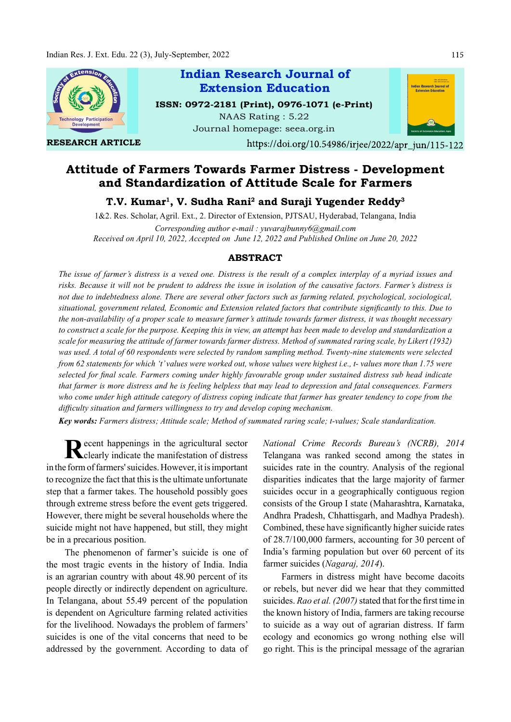

RESEARCH ARTICLE

Indian Research Journal of ISSN: 0972-2181 (Print), 0976-1071 (e-Print) NAAS Rating : 5.22 Extension Education

Journal homepage: seea.org.in



https://doi.org/10.54986/irjee/2022/apr\_jun/115-122

# Attitude of Farmers Towards Farmer Distress - Development and Standardization of Attitude Scale for Farmers

T.V. Kumar<sup>1</sup>, V. Sudha Rani<sup>2</sup> and Suraji Yugender Reddy<sup>3</sup>

1&2. Res. Scholar, Agril. Ext., 2. Director of Extension, PJTSAU, Hyderabad, Telangana, India Corresponding author e-mail : yuvarajbunny6@gmail.com Received on April 10, 2022, Accepted on June 12, 2022 and Published Online on June 20, 2022

# ABSTRACT

The issue of farmer's distress is a vexed one. Distress is the result of a complex interplay of a myriad issues and risks. Because it will not be prudent to address the issue in isolation of the causative factors. Farmer's distress is not due to indebtedness alone. There are several other factors such as farming related, psychological, sociological, situational, government related, Economic and Extension related factors that contribute significantly to this. Due to the non-availability of a proper scale to measure farmer's attitude towards farmer distress, it was thought necessary to construct a scale for the purpose. Keeping this in view, an attempt has been made to develop and standardization a scale for measuring the attitude of farmer towards farmer distress. Method of summated raring scale, by Likert (1932) was used. A total of 60 respondents were selected by random sampling method. Twenty-nine statements were selected from 62 statements for which 't' values were worked out, whose values were highest i.e., t- values more than 1.75 were selected for final scale. Farmers coming under highly favourable group under sustained distress sub head indicate that farmer is more distress and he is feeling helpless that may lead to depression and fatal consequences. Farmers who come under high attitude category of distress coping indicate that farmer has greater tendency to cope from the difficulty situation and farmers willingness to try and develop coping mechanism.

Key words: Farmers distress; Attitude scale; Method of summated raring scale; t-values; Scale standardization.

Recent happenings in the agricultural sector National Crinci<br>Clearly indicate the manifestation of distress Telangana was clearly indicate the manifestation of distress in the form of farmers' suicides. However, it is important to recognize the fact that this is the ultimate unfortunate step that a farmer takes. The household possibly goes through extreme stress before the event gets triggered. However, there might be several households where the suicide might not have happened, but still, they might be in a precarious position.

The phenomenon of farmer's suicide is one of the most tragic events in the history of India. India is an agrarian country with about 48.90 percent of its people directly or indirectly dependent on agriculture. In Telangana, about 55.49 percent of the population is dependent on Agriculture farming related activities for the livelihood. Nowadays the problem of farmers' suicides is one of the vital concerns that need to be addressed by the government. According to data of National Crime Records Bureau's (NCRB), 2014 Telangana was ranked second among the states in suicides rate in the country. Analysis of the regional disparities indicates that the large majority of farmer suicides occur in a geographically contiguous region consists of the Group I state (Maharashtra, Karnataka, Andhra Pradesh, Chhattisgarh, and Madhya Pradesh). Combined, these have significantly higher suicide rates of 28.7/100,000 farmers, accounting for 30 percent of India's farming population but over 60 percent of its farmer suicides (Nagaraj, 2014).

Farmers in distress might have become dacoits or rebels, but never did we hear that they committed suicides. Rao et al.  $(2007)$  stated that for the first time in the known history of India, farmers are taking recourse to suicide as a way out of agrarian distress. If farm ecology and economics go wrong nothing else will go right. This is the principal message of the agrarian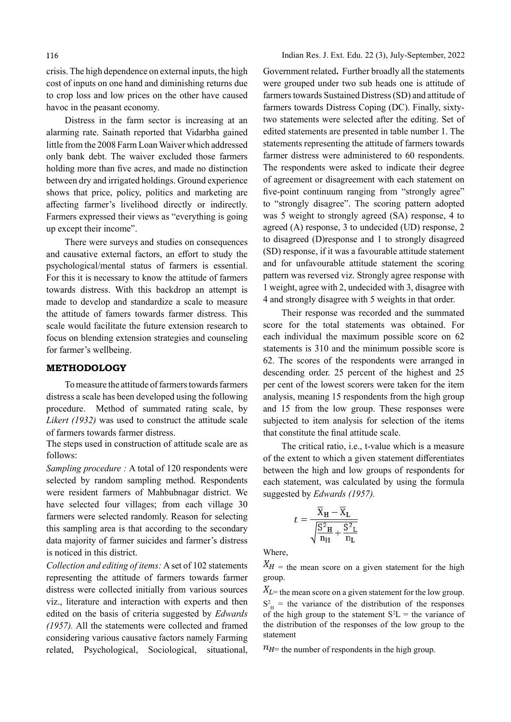crisis. The high dependence on external inputs, the high cost of inputs on one hand and diminishing returns due to crop loss and low prices on the other have caused havoc in the peasant economy.

Distress in the farm sector is increasing at an alarming rate. Sainath reported that Vidarbha gained little from the 2008 Farm Loan Waiver which addressed only bank debt. The waiver excluded those farmers holding more than five acres, and made no distinction between dry and irrigated holdings. Ground experience shows that price, policy, politics and marketing are aff ecting farmer's livelihood directly or indirectly. Farmers expressed their views as "everything is going up except their income".

There were surveys and studies on consequences and causative external factors, an effort to study the psychological/mental status of farmers is essential. For this it is necessary to know the attitude of farmers towards distress. With this backdrop an attempt is made to develop and standardize a scale to measure the attitude of famers towards farmer distress. This scale would facilitate the future extension research to focus on blending extension strategies and counseling for farmer's wellbeing.

# METHODOLOGY

To measure the attitude of farmers towards farmers distress a scale has been developed using the following procedure. Method of summated rating scale, by Likert (1932) was used to construct the attitude scale of farmers towards farmer distress.

The steps used in construction of attitude scale are as follows:

Sampling procedure : A total of 120 respondents were selected by random sampling method. Respondents were resident farmers of Mahbubnagar district. We have selected four villages; from each village 30 farmers were selected randomly. Reason for selecting this sampling area is that according to the secondary data majority of farmer suicides and farmer's distress is noticed in this district.

Collection and editing of items: A set of 102 statements representing the attitude of farmers towards farmer distress were collected initially from various sources viz., literature and interaction with experts and then edited on the basis of criteria suggested by Edwards (1957). All the statements were collected and framed considering various causative factors namely Farming related, Psychological, Sociological, situational,

Government related. Further broadly all the statements were grouped under two sub heads one is attitude of farmers towards Sustained Distress (SD) and attitude of farmers towards Distress Coping (DC). Finally, sixtytwo statements were selected after the editing. Set of edited statements are presented in table number 1. The statements representing the attitude of farmers towards farmer distress were administered to 60 respondents. The respondents were asked to indicate their degree of agreement or disagreement with each statement on five-point continuum ranging from "strongly agree" to "strongly disagree". The scoring pattern adopted was 5 weight to strongly agreed (SA) response, 4 to agreed (A) response, 3 to undecided (UD) response, 2 to disagreed (D)response and 1 to strongly disagreed (SD) response, if it was a favourable attitude statement and for unfavourable attitude statement the scoring pattern was reversed viz. Strongly agree response with 1 weight, agree with 2, undecided with 3, disagree with 4 and strongly disagree with 5 weights in that order.

Their response was recorded and the summated score for the total statements was obtained. For each individual the maximum possible score on 62 statements is 310 and the minimum possible score is 62. The scores of the respondents were arranged in descending order. 25 percent of the highest and 25 per cent of the lowest scorers were taken for the item analysis, meaning 15 respondents from the high group and 15 from the low group. These responses were subjected to item analysis for selection of the items that constitute the final attitude scale.

The critical ratio, i.e., t-value which is a measure of the extent to which a given statement differentiates between the high and low groups of respondents for each statement, was calculated by using the formula suggested by Edwards (1957).

$$
t = \frac{\overline{X}_{H} - \overline{X}_{L}}{\sqrt{\frac{S^{2}H}{nH} + \frac{S^{2}L}{nL}}}
$$

Where,

 $X_H$  = the mean score on a given statement for the high group.

 $X_L$  = the mean score on a given statement for the low group.  $S<sup>2</sup><sub>H</sub>$  = the variance of the distribution of the responses of the high group to the statement  $S^2L$  = the variance of the distribution of the responses of the low group to the statement

 $n_{H}$  the number of respondents in the high group.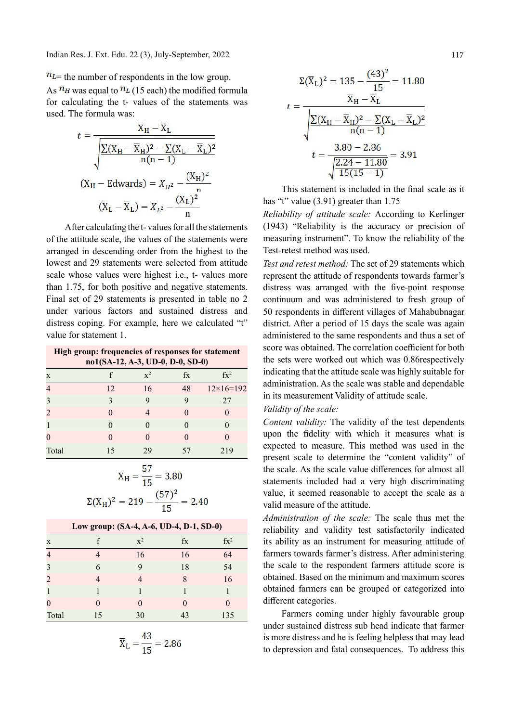Indian Res. J. Ext. Edu. 22 (3), July-September, 2022

# $n_{L}$  = the number of respondents in the low group.

As  $n_H$  was equal to  $n_L$  (15 each) the modified formula for calculating the t- values of the statements was used. The formula was:

$$
t = \frac{X_{H} - X_{L}}{\sqrt{\frac{\sum (X_{H} - \overline{X}_{H})^{2} - \sum (X_{L} - \overline{X}_{L})^{2}}{n(n-1)}}}
$$
  
(X<sub>H</sub> - Edwards) = X<sub>H</sub><sup>2</sup> -  $\frac{(X_{H})^{2}}{n}$   
(X<sub>L</sub> - \overline{X}\_{L}) = X<sub>L</sub><sup>2</sup> -  $\frac{(X_{L})^{2}}{n}$ 

After calculating the t- values for all the statements of the attitude scale, the values of the statements were arranged in descending order from the highest to the lowest and 29 statements were selected from attitude scale whose values were highest i.e., t- values more than 1.75, for both positive and negative statements. Final set of 29 statements is presented in table no 2 under various factors and sustained distress and distress coping. For example, here we calculated "t" value for statement 1.

| High group: frequencies of responses for statement<br>no1(SA-12, A-3, UD-0, D-0, SD-0) |    |                |         |                  |  |  |  |  |  |  |
|----------------------------------------------------------------------------------------|----|----------------|---------|------------------|--|--|--|--|--|--|
| X                                                                                      |    | $\mathbf{x}^2$ | $f_{X}$ | $fx^2$           |  |  |  |  |  |  |
| 4                                                                                      | 12 | 16             | 48      | $12\times16=192$ |  |  |  |  |  |  |
| 3                                                                                      |    |                | 9       | 27               |  |  |  |  |  |  |
| $\overline{2}$                                                                         |    |                |         |                  |  |  |  |  |  |  |
| $\mathbf{1}$                                                                           |    |                |         |                  |  |  |  |  |  |  |
| $\theta$                                                                               |    |                |         |                  |  |  |  |  |  |  |
| Total                                                                                  | 15 | 79             |         | 219              |  |  |  |  |  |  |

$$
\overline{X}_{H} = \frac{57}{15} = 3.80
$$

$$
\Sigma(\overline{X}_{H})^{2} = 219 - \frac{(57)^{2}}{15} = 2.40
$$

| Low group: (SA-4, A-6, UD-4, D-1, SD-0) |              |                |                   |        |  |  |  |  |  |
|-----------------------------------------|--------------|----------------|-------------------|--------|--|--|--|--|--|
| X                                       |              | $\mathbf{x}^2$ | fx                | $fx^2$ |  |  |  |  |  |
| $\overline{4}$                          |              | 16             | 16                | 64     |  |  |  |  |  |
| 3                                       | 6            | 9              | 18                | 54     |  |  |  |  |  |
| $\overline{2}$                          |              |                | 8                 | 16     |  |  |  |  |  |
| $\mathbf{1}$                            |              |                |                   |        |  |  |  |  |  |
| $\theta$                                | $\mathbf{0}$ |                | $\mathbf{\Omega}$ |        |  |  |  |  |  |
| Total                                   | 15           | 30             | 43                | 135    |  |  |  |  |  |

$$
\overline{X}_{L} = \frac{43}{15} = 2.86
$$

$$
\Sigma(\overline{X}_{L})^{2} = 135 - \frac{(43)^{2}}{15} = 11.80
$$

$$
t = \frac{\overline{X}_{H} - \overline{X}_{L}}{\sqrt{\frac{\sum (X_{H} - \overline{X}_{H})^{2} - \sum (X_{L} - \overline{X}_{L})^{2}}{n(n-1)}}}
$$

$$
t = \frac{3.80 - 2.86}{\sqrt{\frac{2.24 - 11.80}{15(15 - 1)}}} = 3.91
$$

This statement is included in the final scale as it has "t" value (3.91) greater than 1.75

Reliability of attitude scale: According to Kerlinger (1943) "Reliability is the accuracy or precision of measuring instrument". To know the reliability of the Test-retest method was used.

Test and retest method: The set of 29 statements which represent the attitude of respondents towards farmer's distress was arranged with the five-point response continuum and was administered to fresh group of 50 respondents in different villages of Mahabubnagar district. After a period of 15 days the scale was again administered to the same respondents and thus a set of score was obtained. The correlation coefficient for both the sets were worked out which was 0.86respectively indicating that the attitude scale was highly suitable for administration. As the scale was stable and dependable in its measurement Validity of attitude scale.

#### Validity of the scale:

Content validity: The validity of the test dependents upon the fidelity with which it measures what is expected to measure. This method was used in the present scale to determine the "content validity" of the scale. As the scale value differences for almost all statements included had a very high discriminating value, it seemed reasonable to accept the scale as a valid measure of the attitude.

Administration of the scale: The scale thus met the reliability and validity test satisfactorily indicated its ability as an instrument for measuring attitude of farmers towards farmer's distress. After administering the scale to the respondent farmers attitude score is obtained. Based on the minimum and maximum scores obtained farmers can be grouped or categorized into different categories.

Farmers coming under highly favourable group under sustained distress sub head indicate that farmer is more distress and he is feeling helpless that may lead to depression and fatal consequences. To address this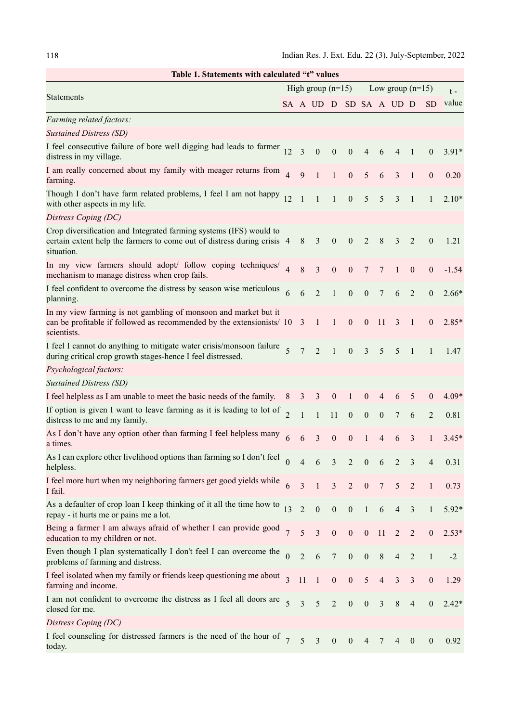| Table 1. Statements with calculated "t" values                                                                                                              |                     |                |                        |                  |                  |                         |                  |                |                          |                          |         |
|-------------------------------------------------------------------------------------------------------------------------------------------------------------|---------------------|----------------|------------------------|------------------|------------------|-------------------------|------------------|----------------|--------------------------|--------------------------|---------|
|                                                                                                                                                             | High group $(n=15)$ |                |                        |                  |                  | Low group $(n=15)$      | $t -$            |                |                          |                          |         |
| <b>Statements</b>                                                                                                                                           |                     |                | SA A UD D SD SA A UD D |                  |                  |                         |                  |                |                          | SD                       | value   |
| Farming related factors:                                                                                                                                    |                     |                |                        |                  |                  |                         |                  |                |                          |                          |         |
| <b>Sustained Distress (SD)</b>                                                                                                                              |                     |                |                        |                  |                  |                         |                  |                |                          |                          |         |
| I feel consecutive failure of bore well digging had leads to farmer $_{12}$<br>distress in my village.                                                      |                     | $\overline{3}$ | $\boldsymbol{0}$       | $\boldsymbol{0}$ | $\boldsymbol{0}$ | $\overline{\mathbf{4}}$ | 6                | 4              | 1                        | $\mathbf{0}$             | $3.91*$ |
| I am really concerned about my family with meager returns from<br>farming.                                                                                  | $\overline{4}$      | 9              | $\mathbf{1}$           | $\mathbf{1}$     | $\boldsymbol{0}$ | 5                       | 6                | $\overline{3}$ | $\mathbf{1}$             | $\mathbf{0}$             | 0.20    |
| Though I don't have farm related problems, I feel I am not happy<br>with other aspects in my life.                                                          | 12                  | $\overline{1}$ | $\mathbf{1}$           | $\mathbf{1}$     | $\boldsymbol{0}$ | 5                       | 5                | 3              | 1                        | 1                        | $2.10*$ |
| Distress Coping (DC)                                                                                                                                        |                     |                |                        |                  |                  |                         |                  |                |                          |                          |         |
| Crop diversification and Integrated farming systems (IFS) would to<br>certain extent help the farmers to come out of distress during crisis 4<br>situation. |                     | 8              | 3                      | $\boldsymbol{0}$ | $\boldsymbol{0}$ | $\overline{2}$          | 8                | 3              | 2                        | $\boldsymbol{0}$         | 1.21    |
| In my view farmers should adopt/ follow coping techniques/<br>mechanism to manage distress when crop fails.                                                 | $\overline{\Delta}$ | 8              | $\overline{3}$         | $\boldsymbol{0}$ | $\boldsymbol{0}$ | 7                       | 7                | $\mathbf{1}$   | $\boldsymbol{0}$         | $\boldsymbol{0}$         | $-1.54$ |
| I feel confident to overcome the distress by season wise meticulous<br>planning.                                                                            | 6                   | 6              | $\overline{2}$         | $\mathbf{1}$     | $\mathbf{0}$     | $\boldsymbol{0}$        | $\tau$           | 6              | 2                        | $\boldsymbol{0}$         | $2.66*$ |
| In my view farming is not gambling of monsoon and market but it<br>can be profitable if followed as recommended by the extensionists/ 10 3<br>scientists.   |                     |                | $\mathbf{1}$           | 1                | $\mathbf{0}$     | $\mathbf{0}$            | -11              | 3              | 1                        | $\mathbf{0}$             | $2.85*$ |
| I feel I cannot do anything to mitigate water crisis/monsoon failure<br>during critical crop growth stages-hence I feel distressed.                         | 5                   | $\overline{7}$ | $\overline{2}$         | $\mathbf{1}$     | $\overline{0}$   | $\mathfrak{Z}$          | $\mathfrak{S}$   | 5              | $\mathbf{1}$             | $\mathbf{1}$             | 1.47    |
| Psychological factors:                                                                                                                                      |                     |                |                        |                  |                  |                         |                  |                |                          |                          |         |
| <b>Sustained Distress (SD)</b>                                                                                                                              |                     |                |                        |                  |                  |                         |                  |                |                          |                          |         |
| I feel helpless as I am unable to meet the basic needs of the family.                                                                                       | 8                   | 3              | 3                      | $\mathbf{0}$     | $\mathbf{1}$     | $\boldsymbol{0}$        | $\overline{4}$   | 6              | 5                        | $\overline{0}$           | $4.09*$ |
| If option is given I want to leave farming as it is leading to lot of<br>distress to me and my family.                                                      | $\overline{2}$      | $\mathbf{1}$   | $\mathbf{1}$           | 11               | $\boldsymbol{0}$ | $\boldsymbol{0}$        | $\boldsymbol{0}$ | 7              | 6                        | $\overline{2}$           | 0.81    |
| As I don't have any option other than farming I feel helpless many<br>a times.                                                                              | 6                   | 6              | $\overline{3}$         | $\boldsymbol{0}$ | $\boldsymbol{0}$ | $\mathbf{1}$            | 4                | 6              | 3                        | 1                        | $3.45*$ |
| As I can explore other livelihood options than farming so I don't feel<br>helpless.                                                                         | $\Omega$            | $\overline{4}$ | 6                      | $\mathfrak{Z}$   | $\overline{2}$   | $\boldsymbol{0}$        | 6                | $\overline{2}$ | $\mathfrak{Z}$           | $\overline{\mathcal{A}}$ | 0.31    |
| I feel more hurt when my neighboring farmers get good yields while<br>I fail.                                                                               |                     | $\overline{3}$ | $\mathbf{1}$           | $\overline{3}$   | $\overline{2}$   | $\boldsymbol{0}$        | $\overline{7}$   | 5              | $\overline{2}$           | $\mathbf{1}$             | 0.73    |
| As a defaulter of crop loan I keep thinking of it all the time how to<br>repay - it hurts me or pains me a lot.                                             | 13                  | $\overline{2}$ | $\boldsymbol{0}$       | $\boldsymbol{0}$ | $\boldsymbol{0}$ | $\mathbf{1}$            | $\sqrt{6}$       | $\overline{4}$ | $\mathfrak{Z}$           | $\mathbf{1}$             | 5.92*   |
| Being a farmer I am always afraid of whether I can provide good<br>education to my children or not.                                                         |                     | 5              | $\overline{3}$         | $\boldsymbol{0}$ | $\boldsymbol{0}$ | $\boldsymbol{0}$        | 11               | $\overline{2}$ | $\overline{2}$           | $\boldsymbol{0}$         | $2.53*$ |
| Even though I plan systematically I don't feel I can overcome the<br>problems of farming and distress.                                                      | $\Omega$            | $\overline{2}$ | $\sqrt{6}$             | $7\phantom{.}$   | $\boldsymbol{0}$ | $\boldsymbol{0}$        | $\,8\,$          | $\overline{4}$ | $\overline{2}$           | $\mathbf{1}$             | $-2$    |
| I feel isolated when my family or friends keep questioning me about<br>farming and income.                                                                  | $\overline{3}$      | 11             | $\bigoplus$            | $\boldsymbol{0}$ | $\boldsymbol{0}$ | $\mathfrak{S}$          | $\overline{4}$   | $\mathfrak{Z}$ | $\mathfrak{Z}$           | $\boldsymbol{0}$         | 1.29    |
| I am not confident to overcome the distress as I feel all doors are<br>closed for me.                                                                       | 5                   | $\overline{3}$ | 5                      | $\sqrt{2}$       | $\boldsymbol{0}$ | $\boldsymbol{0}$        | $\mathfrak{Z}$   | $\,$ 8 $\,$    | $\overline{\mathcal{A}}$ | $\boldsymbol{0}$         | $2.42*$ |
| Distress Coping (DC)                                                                                                                                        |                     |                |                        |                  |                  |                         |                  |                |                          |                          |         |
| I feel counseling for distressed farmers is the need of the hour of<br>today.                                                                               |                     | 5              | $\overline{3}$         | $\boldsymbol{0}$ | $\boldsymbol{0}$ | 4                       | 7                | 4              | $\mathbf{0}$             | $\overline{0}$           | 0.92    |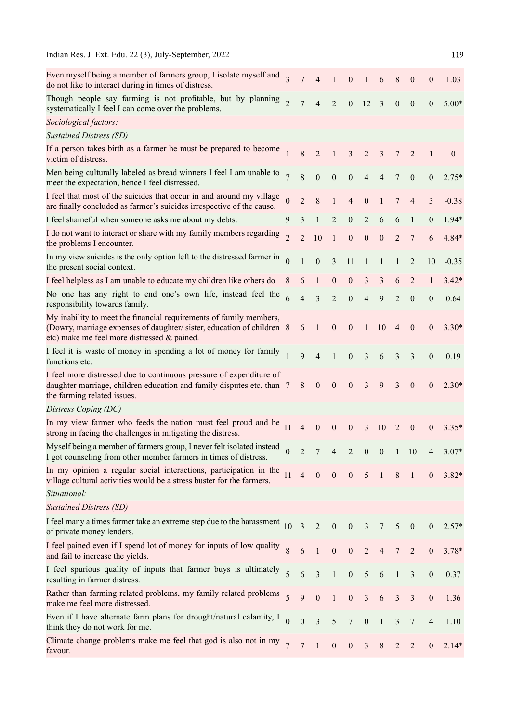| Indian Res. J. Ext. Edu. 22 (3), July-September, 2022                                                                                                                                      |                          |                         |                  |                  |                  |                  |                  |                  |                  |                          | 119              |
|--------------------------------------------------------------------------------------------------------------------------------------------------------------------------------------------|--------------------------|-------------------------|------------------|------------------|------------------|------------------|------------------|------------------|------------------|--------------------------|------------------|
| Even myself being a member of farmers group, I isolate myself and<br>do not like to interact during in times of distress.                                                                  | $\overline{\mathcal{E}}$ | $\overline{7}$          | $\overline{4}$   | $\mathbf{1}$     | $\boldsymbol{0}$ | $\mathbf{1}$     | 6                | 8                | $\boldsymbol{0}$ | $\boldsymbol{0}$         | 1.03             |
| Though people say farming is not profitable, but by planning<br>systematically I feel I can come over the problems.                                                                        | $\mathfrak{Z}$           | $\overline{7}$          | $\overline{4}$   | $\overline{2}$   | $\boldsymbol{0}$ | 12               | $\overline{3}$   | $\boldsymbol{0}$ | $\boldsymbol{0}$ | $\boldsymbol{0}$         | $5.00*$          |
| Sociological factors:                                                                                                                                                                      |                          |                         |                  |                  |                  |                  |                  |                  |                  |                          |                  |
| <b>Sustained Distress (SD)</b>                                                                                                                                                             |                          |                         |                  |                  |                  |                  |                  |                  |                  |                          |                  |
| If a person takes birth as a farmer he must be prepared to become<br>victim of distress.                                                                                                   |                          | $8\,$                   | $\overline{2}$   | $\mathbf{1}$     | $\mathfrak{Z}$   | $\overline{c}$   | 3                | 7                | $\overline{2}$   | $\mathbf{1}$             | $\boldsymbol{0}$ |
| Men being culturally labeled as bread winners I feel I am unable to<br>meet the expectation, hence I feel distressed.                                                                      | $\overline{7}$           | 8                       | $\boldsymbol{0}$ | $\boldsymbol{0}$ | $\boldsymbol{0}$ | $\overline{4}$   | $\overline{4}$   | 7                | $\boldsymbol{0}$ | $\boldsymbol{0}$         | $2.75*$          |
| I feel that most of the suicides that occur in and around my village<br>are finally concluded as farmer's suicides irrespective of the cause.                                              | $\overline{0}$           | $\overline{2}$          | 8                | $\mathbf{1}$     | $\overline{4}$   | $\boldsymbol{0}$ | $\mathbf{1}$     | 7                | $\overline{4}$   | 3                        | $-0.38$          |
| I feel shameful when someone asks me about my debts.                                                                                                                                       | 9                        | 3                       | $\mathbf{1}$     | $\sqrt{2}$       | $\boldsymbol{0}$ | $\sqrt{2}$       | 6                | 6                | $\mathbf{1}$     | $\boldsymbol{0}$         | $1.94*$          |
| I do not want to interact or share with my family members regarding<br>the problems I encounter.                                                                                           | $\mathfrak{D}$           | $\overline{2}$          | 10               | $\mathbf{1}$     | $\boldsymbol{0}$ | $\boldsymbol{0}$ | $\boldsymbol{0}$ | $\overline{2}$   | 7                | 6                        | $4.84*$          |
| In my view suicides is the only option left to the distressed farmer in<br>the present social context.                                                                                     | $\theta$                 |                         | $\boldsymbol{0}$ | $\mathfrak{Z}$   | 11               | $\mathbf{1}$     | $\mathbf{1}$     | $\mathbf{1}$     | $\overline{2}$   | 10                       | $-0.35$          |
| I feel helpless as I am unable to educate my children like others do                                                                                                                       | 8                        | 6                       | $\mathbf{1}$     | $\boldsymbol{0}$ | $\boldsymbol{0}$ | $\mathfrak{Z}$   | $\mathfrak{Z}$   | 6                | $\overline{2}$   | 1                        | $3.42*$          |
| No one has any right to end one's own life, instead feel the<br>responsibility towards family.                                                                                             | 6                        | $\overline{4}$          | 3                | $\overline{2}$   | $\boldsymbol{0}$ | $\overline{4}$   | 9                | $\overline{2}$   | $\mathbf{0}$     | $\boldsymbol{0}$         | 0.64             |
| My inability to meet the financial requirements of family members,<br>(Dowry, marriage expenses of daughter/sister, education of children 8<br>etc) make me feel more distressed & pained. |                          | 6                       | $\mathbf{1}$     | $\boldsymbol{0}$ | $\boldsymbol{0}$ | $\mathbf{1}$     | 10               | $\overline{4}$   | $\boldsymbol{0}$ | $\boldsymbol{0}$         | $3.30*$          |
| I feel it is waste of money in spending a lot of money for family<br>functions etc.                                                                                                        | $\mathbf{1}$             | 9                       | $\overline{4}$   | $\mathbf{1}$     | $\boldsymbol{0}$ | 3                | 6                | 3                | 3                | $\boldsymbol{0}$         | 0.19             |
| I feel more distressed due to continuous pressure of expenditure of<br>daughter marriage, children education and family disputes etc. than 7<br>the farming related issues.                |                          | $8\phantom{.}$          | $\boldsymbol{0}$ | $\boldsymbol{0}$ | $\boldsymbol{0}$ | 3                | 9                | 3                | $\boldsymbol{0}$ | $\boldsymbol{0}$         | $2.30*$          |
| Distress Coping (DC)                                                                                                                                                                       |                          |                         |                  |                  |                  |                  |                  |                  |                  |                          |                  |
| In my view farmer who feeds the nation must feel proud and be $_{11}$<br>strong in facing the challenges in mitigating the distress.                                                       |                          | $\overline{4}$          | $\boldsymbol{0}$ | $\boldsymbol{0}$ | $\mathbf{0}$     | 3                | 10               | $\overline{2}$   | $\boldsymbol{0}$ | $\mathbf{0}$             | $3.35*$          |
| Myself being a member of farmers group, I never felt isolated instead<br>I got counseling from other member farmers in times of distress.                                                  | $\overline{0}$           | $\overline{2}$          | 7 <sup>7</sup>   | $\overline{4}$   | $\overline{2}$   | $\boldsymbol{0}$ | $\boldsymbol{0}$ |                  | $1\quad 10$      | $\overline{4}$           | $3.07*$          |
| In my opinion a regular social interactions, participation in the<br>village cultural activities would be a stress buster for the farmers.                                                 | 11                       | $\overline{4}$          | $\boldsymbol{0}$ | $\boldsymbol{0}$ | $\mathbf{0}$     | $5\overline{)}$  | $\overline{1}$   | $\, 8$           | $\overline{1}$   | $\boldsymbol{0}$         | $3.82*$          |
| Situational:                                                                                                                                                                               |                          |                         |                  |                  |                  |                  |                  |                  |                  |                          |                  |
| <b>Sustained Distress (SD)</b>                                                                                                                                                             |                          |                         |                  |                  |                  |                  |                  |                  |                  |                          |                  |
| I feel many a times farmer take an extreme step due to the harassment $10$<br>of private money lenders.                                                                                    |                          | $\overline{\mathbf{3}}$ | $\overline{2}$   | $\boldsymbol{0}$ | $\boldsymbol{0}$ | $\overline{3}$   | $\overline{7}$   | 5                | $\boldsymbol{0}$ | $\mathbf{0}$             | $2.57*$          |
| I feel pained even if I spend lot of money for inputs of low quality<br>and fail to increase the yields.                                                                                   | $\overline{8}$           | 6                       | $\mathbf{1}$     | $\boldsymbol{0}$ | $\boldsymbol{0}$ | $\sqrt{2}$       | $\overline{4}$   | $\overline{7}$   | $\overline{2}$   | $\boldsymbol{0}$         | $3.78*$          |
| I feel spurious quality of inputs that farmer buys is ultimately<br>resulting in farmer distress.                                                                                          | 5                        | 6                       | $\overline{3}$   | $\,1\,$          | $\boldsymbol{0}$ | $\mathfrak{S}$   | 6                | $\mathbf 1$      | $\mathfrak{Z}$   | $\boldsymbol{0}$         | 0.37             |
| Rather than farming related problems, my family related problems<br>make me feel more distressed.                                                                                          | $\overline{\mathbf{5}}$  | 9                       | $\mathbf{0}$     | $\mathbf{1}$     | $\boldsymbol{0}$ | $\mathfrak{Z}$   | $\sqrt{6}$       | $\overline{3}$   | $\overline{3}$   | $\boldsymbol{0}$         | 1.36             |
| Even if I have alternate farm plans for drought/natural calamity, I<br>think they do not work for me.                                                                                      | $\overline{0}$           | $\boldsymbol{0}$        | $\overline{3}$   | $\mathfrak{S}$   | $7\phantom{.0}$  | $\boldsymbol{0}$ | $\mathbf{1}$     | $\mathfrak{Z}$   | $\overline{7}$   | $\overline{\mathcal{A}}$ | 1.10             |
| Climate change problems make me feel that god is also not in my<br>favour.                                                                                                                 | $\overline{7}$           | $\overline{7}$          | $\overline{1}$   | $\boldsymbol{0}$ | $\boldsymbol{0}$ | $\mathfrak{Z}$   | $\, 8$           | $\overline{2}$   | $\overline{2}$   | $\mathbf{0}$             | $2.14*$          |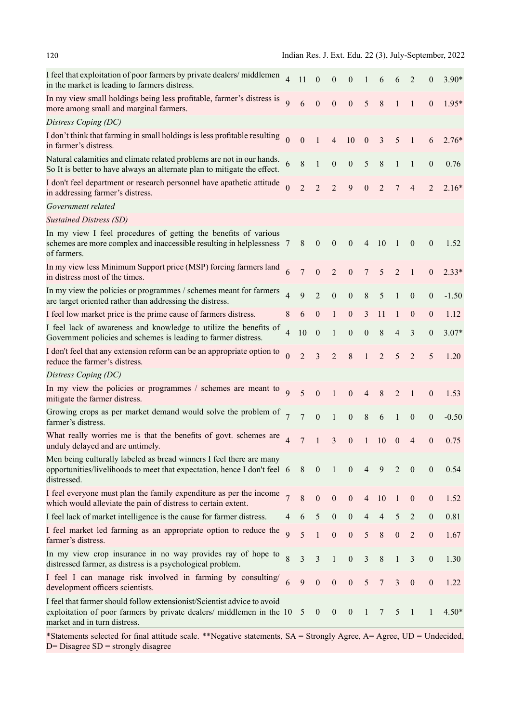| I feel that exploitation of poor farmers by private dealers/middlemen<br>in the market is leading to farmers distress.                                                          | $\overline{4}$          | 11               | $\boldsymbol{0}$ | $\boldsymbol{0}$ | $\boldsymbol{0}$ | $\mathbf{1}$     | 6              | 6                | 2                | $\mathbf{0}$     | $3.90*$ |
|---------------------------------------------------------------------------------------------------------------------------------------------------------------------------------|-------------------------|------------------|------------------|------------------|------------------|------------------|----------------|------------------|------------------|------------------|---------|
| In my view small holdings being less profitable, farmer's distress is<br>more among small and marginal farmers.                                                                 | $\overline{Q}$          | 6                | $\boldsymbol{0}$ | $\boldsymbol{0}$ | $\mathbf{0}$     | $5\overline{)}$  | 8 <sup>8</sup> | $\mathbf{1}$     | $\mathbf{1}$     | $\mathbf{0}$     | $1.95*$ |
| Distress Coping (DC)                                                                                                                                                            |                         |                  |                  |                  |                  |                  |                |                  |                  |                  |         |
| I don't think that farming in small holdings is less profitable resulting<br>in farmer's distress.                                                                              | $\overline{0}$          | $\boldsymbol{0}$ | $\bigoplus$      | $\overline{4}$   | 10               | $\boldsymbol{0}$ | $\mathfrak{Z}$ | 5                | $\mathbf{1}$     | 6                | $2.76*$ |
| Natural calamities and climate related problems are not in our hands.<br>So It is better to have always an alternate plan to mitigate the effect.                               | 6                       | $\,8\,$          | $\mathbf{1}$     | $\boldsymbol{0}$ | $\boldsymbol{0}$ | $\sqrt{5}$       | $\, 8$         | $\mathbf{1}$     | $\mathbf{1}$     | $\boldsymbol{0}$ | 0.76    |
| I don't feel department or research personnel have apathetic attitude<br>in addressing farmer's distress.                                                                       | $\theta$                | $\overline{2}$   | $\overline{2}$   | $\overline{2}$   | 9                | $\boldsymbol{0}$ | 2              | $\overline{7}$   | $\overline{4}$   | $\overline{2}$   | $2.16*$ |
| Government related                                                                                                                                                              |                         |                  |                  |                  |                  |                  |                |                  |                  |                  |         |
| <b>Sustained Distress (SD)</b>                                                                                                                                                  |                         |                  |                  |                  |                  |                  |                |                  |                  |                  |         |
| In my view I feel procedures of getting the benefits of various<br>schemes are more complex and inaccessible resulting in helplessness 7<br>of farmers.                         |                         | 8                | $\mathbf{0}$     | $\mathbf{0}$     | $\mathbf{0}$     |                  | 4 10           | $\overline{1}$   | $\boldsymbol{0}$ | $\mathbf{0}$     | 1.52    |
| In my view less Minimum Support price (MSP) forcing farmers land<br>in distress most of the times.                                                                              | 6                       | $\overline{7}$   | $\mathbf{0}$     | $\overline{2}$   | $\boldsymbol{0}$ | $\overline{7}$   | 5              | $\overline{2}$   | $\mathbf{1}$     | $\boldsymbol{0}$ | $2.33*$ |
| In my view the policies or programmes / schemes meant for farmers<br>are target oriented rather than addressing the distress.                                                   | $\overline{4}$          | 9                | $\overline{2}$   | $\boldsymbol{0}$ | $\boldsymbol{0}$ | $\,8\,$          | 5              | $\mathbf{1}$     | $\boldsymbol{0}$ | $\boldsymbol{0}$ | $-1.50$ |
| I feel low market price is the prime cause of farmers distress.                                                                                                                 | 8                       | 6                | $\boldsymbol{0}$ | $\mathbf{1}$     | $\boldsymbol{0}$ | $\mathfrak{Z}$   | 11             | $\mathbf{1}$     | $\boldsymbol{0}$ | $\boldsymbol{0}$ | 1.12    |
| I feel lack of awareness and knowledge to utilize the benefits of<br>Government policies and schemes is leading to farmer distress.                                             | $\overline{4}$          | 10               | $\boldsymbol{0}$ | $\mathbf{1}$     | $\boldsymbol{0}$ | $\boldsymbol{0}$ | $\,8\,$        | $\overline{4}$   | 3                | $\boldsymbol{0}$ | $3.07*$ |
| I don't feel that any extension reform can be an appropriate option to<br>reduce the farmer's distress.                                                                         | $\overline{0}$          | $\overline{2}$   | $\overline{3}$   | $\overline{2}$   | $\,8\,$          | $\mathbf{1}$     | $\overline{2}$ | 5                | $\overline{2}$   | 5                | 1.20    |
| Distress Coping (DC)                                                                                                                                                            |                         |                  |                  |                  |                  |                  |                |                  |                  |                  |         |
| In my view the policies or programmes / schemes are meant to<br>mitigate the farmer distress.                                                                                   | $\overline{Q}$          | 5                | $\overline{0}$   | $\mathbf{1}$     | $\mathbf{0}$     | $\overline{4}$   | 8              | $\overline{2}$   | $\mathbf{1}$     | $\mathbf{0}$     | 1.53    |
| Growing crops as per market demand would solve the problem of<br>farmer's distress.                                                                                             | $\overline{7}$          | $\overline{7}$   | $\mathbf{0}$     | $\mathbf{1}$     | $\boldsymbol{0}$ | $\,8\,$          | 6              | $\mathbf{1}$     | $\boldsymbol{0}$ | $\boldsymbol{0}$ | $-0.50$ |
| What really worries me is that the benefits of govt. schemes are<br>unduly delayed and are untimely.                                                                            | $\overline{\mathbf{A}}$ | $7\phantom{.0}$  | $\mathbf{1}$     | $\overline{3}$   | $\mathbf{0}$     | $\mathbf{1}$     | 10             | $\mathbf{0}$     | $\overline{4}$   | $\mathbf{0}$     | 0.75    |
| Men being culturally labeled as bread winners I feel there are many<br>opportunities/livelihoods to meet that expectation, hence I don't feel 6<br>distressed.                  |                         | 8                | $\mathbf{0}$     | $\mathbf{1}$     | $\boldsymbol{0}$ | $\overline{4}$   | 9              | $\overline{2}$   | $\mathbf{0}$     | $\overline{0}$   | 0.54    |
| I feel everyone must plan the family expenditure as per the income<br>which would alleviate the pain of distress to certain extent.                                             | $\overline{7}$          | $8\,$            | $\boldsymbol{0}$ | $\boldsymbol{0}$ | $\boldsymbol{0}$ | $\overline{4}$   | 10             | -1               | $\mathbf{0}$     | $\boldsymbol{0}$ | 1.52    |
| I feel lack of market intelligence is the cause for farmer distress.                                                                                                            | 4                       | 6                | 5                | $\boldsymbol{0}$ | $\boldsymbol{0}$ | $\overline{4}$   | $\overline{4}$ | 5                | $\overline{2}$   | $\boldsymbol{0}$ | 0.81    |
| I feel market led farming as an appropriate option to reduce the<br>farmer's distress.                                                                                          | $\overline{9}$          | 5                | $\mathbf{1}$     | $\boldsymbol{0}$ | $\boldsymbol{0}$ | 5                | $\,8\,$        | $\boldsymbol{0}$ | $\overline{2}$   | $\boldsymbol{0}$ | 1.67    |
| In my view crop insurance in no way provides ray of hope to<br>distressed farmer, as distress is a psychological problem.                                                       | 8                       | 3                | 3                | $\mathbf{1}$     | $\boldsymbol{0}$ | $\mathfrak{Z}$   | $\,8\,$        | $\mathbf{1}$     | 3                | $\boldsymbol{0}$ | 1.30    |
| I feel I can manage risk involved in farming by consulting/<br>development officers scientists.                                                                                 | 6                       | 9                | $\boldsymbol{0}$ | $\boldsymbol{0}$ | $\boldsymbol{0}$ | $\sqrt{5}$       | $\overline{7}$ | $\mathfrak{Z}$   | $\boldsymbol{0}$ | $\boldsymbol{0}$ | 1.22    |
| I feel that farmer should follow extensionist/Scientist advice to avoid<br>exploitation of poor farmers by private dealers/ middlemen in the 10<br>market and in turn distress. |                         | 5                | $\mathbf{0}$     | $\boldsymbol{0}$ | $\boldsymbol{0}$ | $\mathbf{1}$     | 7              | 5                | $\overline{1}$   |                  | $4.50*$ |
|                                                                                                                                                                                 |                         |                  |                  |                  |                  |                  |                |                  |                  |                  |         |

\*Statements selected for final attitude scale. \*\*Negative statements, SA = Strongly Agree, A= Agree, UD = Undecided,  $D=$  Disagree SD = strongly disagree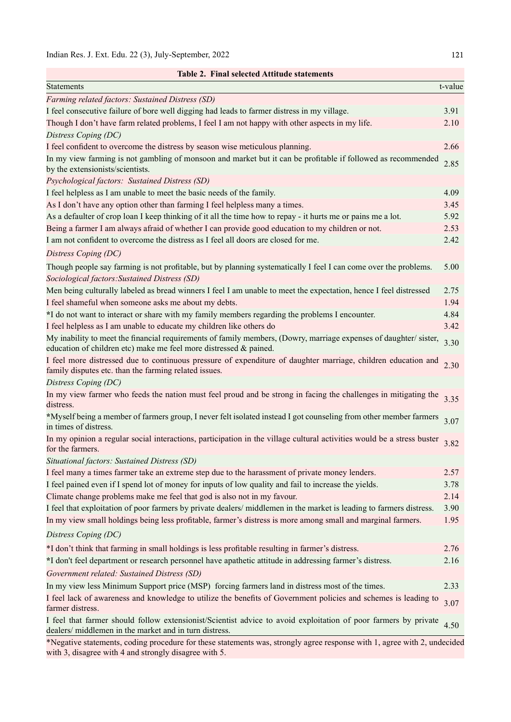with 3, disagree with 4 and strongly disagree with 5.

| <b>Statements</b>                                                                                                                                                                     | t-value |
|---------------------------------------------------------------------------------------------------------------------------------------------------------------------------------------|---------|
| Farming related factors: Sustained Distress (SD)                                                                                                                                      |         |
| I feel consecutive failure of bore well digging had leads to farmer distress in my village.                                                                                           | 3.91    |
| Though I don't have farm related problems, I feel I am not happy with other aspects in my life.                                                                                       | 2.10    |
| Distress Coping (DC)                                                                                                                                                                  |         |
| I feel confident to overcome the distress by season wise meticulous planning.                                                                                                         | 2.66    |
| In my view farming is not gambling of monsoon and market but it can be profitable if followed as recommended<br>by the extensionists/scientists.                                      | 2.85    |
| Psychological factors: Sustained Distress (SD)                                                                                                                                        |         |
| I feel helpless as I am unable to meet the basic needs of the family.                                                                                                                 | 4.09    |
| As I don't have any option other than farming I feel helpless many a times.                                                                                                           | 3.45    |
| As a defaulter of crop loan I keep thinking of it all the time how to repay - it hurts me or pains me a lot.                                                                          | 5.92    |
| Being a farmer I am always afraid of whether I can provide good education to my children or not.                                                                                      | 2.53    |
| I am not confident to overcome the distress as I feel all doors are closed for me.                                                                                                    | 2.42    |
| Distress Coping (DC)                                                                                                                                                                  |         |
| Though people say farming is not profitable, but by planning systematically I feel I can come over the problems.<br>Sociological factors: Sustained Distress (SD)                     | 5.00    |
| Men being culturally labeled as bread winners I feel I am unable to meet the expectation, hence I feel distressed                                                                     | 2.75    |
| I feel shameful when someone asks me about my debts.                                                                                                                                  | 1.94    |
| *I do not want to interact or share with my family members regarding the problems I encounter.                                                                                        | 4.84    |
| I feel helpless as I am unable to educate my children like others do                                                                                                                  | 3.42    |
| My inability to meet the financial requirements of family members, (Dowry, marriage expenses of daughter/sister,<br>education of children etc) make me feel more distressed & pained. | 3.30    |
| I feel more distressed due to continuous pressure of expenditure of daughter marriage, children education and<br>family disputes etc. than the farming related issues.                | 2.30    |
| Distress Coping (DC)                                                                                                                                                                  |         |
| In my view farmer who feeds the nation must feel proud and be strong in facing the challenges in mitigating the<br>distress.                                                          | 3.35    |
| *Myself being a member of farmers group, I never felt isolated instead I got counseling from other member farmers<br>in times of distress.                                            | 3.07    |
| In my opinion a regular social interactions, participation in the village cultural activities would be a stress buster<br>for the farmers.                                            | 3.82    |
| Situational factors: Sustained Distress (SD)                                                                                                                                          |         |
| I feel many a times farmer take an extreme step due to the harassment of private money lenders.                                                                                       | 2.57    |
| I feel pained even if I spend lot of money for inputs of low quality and fail to increase the yields.                                                                                 | 3.78    |
| Climate change problems make me feel that god is also not in my favour.                                                                                                               | 2.14    |
| I feel that exploitation of poor farmers by private dealers/ middlemen in the market is leading to farmers distress.                                                                  | 3.90    |
| In my view small holdings being less profitable, farmer's distress is more among small and marginal farmers.                                                                          | 1.95    |
| Distress Coping (DC)                                                                                                                                                                  |         |
| *I don't think that farming in small holdings is less profitable resulting in farmer's distress.                                                                                      | 2.76    |
| *I don't feel department or research personnel have apathetic attitude in addressing farmer's distress.                                                                               | 2.16    |
| Government related: Sustained Distress (SD)                                                                                                                                           |         |
| In my view less Minimum Support price (MSP) forcing farmers land in distress most of the times.                                                                                       | 2.33    |
| I feel lack of awareness and knowledge to utilize the benefits of Government policies and schemes is leading to<br>farmer distress.                                                   | 3.07    |
| I feel that farmer should follow extensionist/Scientist advice to avoid exploitation of poor farmers by private                                                                       | 4.50    |
| dealers/ middlemen in the market and in turn distress.<br>*Negative statements, coding procedure for these statements was, strongly agree response with 1, agree with 2, undecided    |         |

Table 2. Final selected Attitude statements